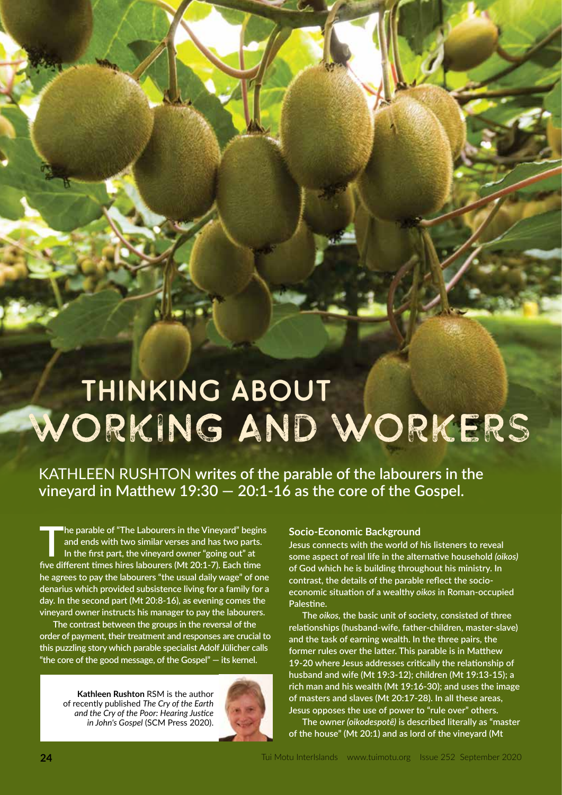# THINKING ABOUT Working anD Workers

KATHLEEN RUSHTON **writes of the parable of the labourers in the vineyard in Matthew 19:30 — 20:1-16 as the core of the Gospel.**

The parable of "The Labourers in the Vineyard" begins<br>and ends with two similar verses and has two parts.<br>In the first part, the vineyard owner "going out" at<br>five different times bires labourers (Mt 20:1. 3). Each time **and ends with two similar verses and has two parts. In the first part, the vineyard owner "going out" at five different times hires labourers (Mt 20:1-7). Each time he agrees to pay the labourers "the usual daily wage" of one denarius which provided subsistence living for a family for a day. In the second part (Mt 20:8-16), as evening comes the vineyard owner instructs his manager to pay the labourers.** 

**The contrast between the groups in the reversal of the order of payment, their treatment and responses are crucial to this puzzling story which parable specialist Adolf Jülicher calls "the core of the good message, of the Gospel" — its kernel.** 

**Kathleen Rushton** RSM is the author of recently published *The Cry of the Earth and the Cry of the Poor: Hearing Justice in John's Gospel* (SCM Press 2020).



#### **Socio-Economic Background**

**Jesus connects with the world of his listeners to reveal some aspect of real life in the alternative household** *(oikos)* **of God which he is building throughout his ministry. In contrast, the details of the parable reflect the socioeconomic situation of a wealthy** *oikos* **in Roman-occupied Palestine.** 

**The** *oikos,* **the basic unit of society, consisted of three relationships (husband-wife, father-children, master-slave) and the task of earning wealth. In the three pairs, the former rules over the latter. This parable is in Matthew 19-20 where Jesus addresses critically the relationship of husband and wife (Mt 19:3-12); children (Mt 19:13-15); a rich man and his wealth (Mt 19:16-30); and uses the image of masters and slaves (Mt 20:17-28). In all these areas, Jesus opposes the use of power to "rule over" others.**

**The owner** *(oikodespotȇ)* **is described literally as "master of the house" (Mt 20:1) and as lord of the vineyard (Mt**